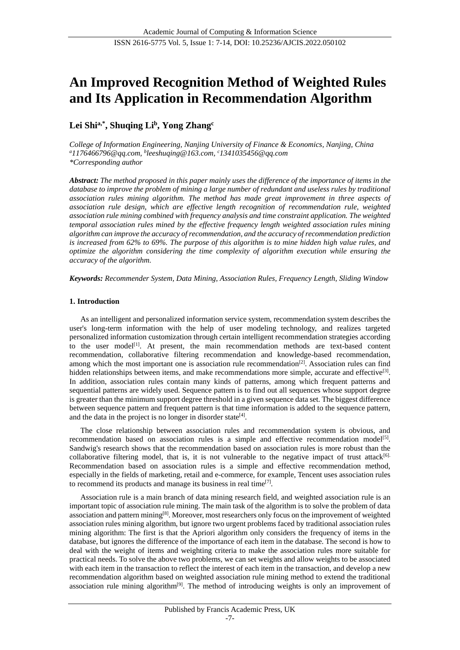# **An Improved Recognition Method of Weighted Rules and Its Application in Recommendation Algorithm**

# **Lei Shia,\* , Shuqing Li<sup>b</sup> , Yong Zhang<sup>c</sup>**

*College of Information Engineering, Nanjing University of Finance & Economics, Nanjing, China <sup>a</sup>1176466796@qq.com, <sup>b</sup> leeshuqing@163.com, <sup>c</sup>1341035456@qq.com \*Corresponding author*

*Abstract: The method proposed in this paper mainly uses the difference of the importance of items in the database to improve the problem of mining a large number of redundant and useless rules by traditional association rules mining algorithm. The method has made great improvement in three aspects of association rule design, which are effective length recognition of recommendation rule, weighted association rule mining combined with frequency analysis and time constraint application. The weighted temporal association rules mined by the effective frequency length weighted association rules mining algorithm can improve the accuracy of recommendation, and the accuracy of recommendation prediction is increased from 62% to 69%. The purpose of this algorithm is to mine hidden high value rules, and optimize the algorithm considering the time complexity of algorithm execution while ensuring the accuracy of the algorithm.*

*Keywords: Recommender System, Data Mining, Association Rules, Frequency Length, Sliding Window*

# **1. Introduction**

As an intelligent and personalized information service system, recommendation system describes the user's long-term information with the help of user modeling technology, and realizes targeted personalized information customization through certain intelligent recommendation strategies according to the user model<sup>[1]</sup>. At present, the main recommendation methods are text-based content recommendation, collaborative filtering recommendation and knowledge-based recommendation, among which the most important one is association rule recommendation<sup>[2]</sup>. Association rules can find hidden relationships between items, and make recommendations more simple, accurate and effective<sup>[3]</sup>. In addition, association rules contain many kinds of patterns, among which frequent patterns and sequential patterns are widely used. Sequence pattern is to find out all sequences whose support degree is greater than the minimum support degree threshold in a given sequence data set. The biggest difference between sequence pattern and frequent pattern is that time information is added to the sequence pattern, and the data in the project is no longer in disorder state<sup>[4]</sup>.

The close relationship between association rules and recommendation system is obvious, and recommendation based on association rules is a simple and effective recommendation model<sup>[5]</sup>. Sandwig's research shows that the recommendation based on association rules is more robust than the collaborative filtering model, that is, it is not vulnerable to the negative impact of trust attack $[6]$ . Recommendation based on association rules is a simple and effective recommendation method, especially in the fields of marketing, retail and e-commerce, for example, Tencent uses association rules to recommend its products and manage its business in real time $[7]$ .

Association rule is a main branch of data mining research field, and weighted association rule is an important topic of association rule mining. The main task of the algorithm is to solve the problem of data association and pattern mining<sup>[8]</sup>. Moreover, most researchers only focus on the improvement of weighted association rules mining algorithm, but ignore two urgent problems faced by traditional association rules mining algorithm: The first is that the Apriori algorithm only considers the frequency of items in the database, but ignores the difference of the importance of each item in the database. The second is how to deal with the weight of items and weighting criteria to make the association rules more suitable for practical needs. To solve the above two problems, we can set weights and allow weights to be associated with each item in the transaction to reflect the interest of each item in the transaction, and develop a new recommendation algorithm based on weighted association rule mining method to extend the traditional association rule mining algorithm<sup>[9]</sup>. The method of introducing weights is only an improvement of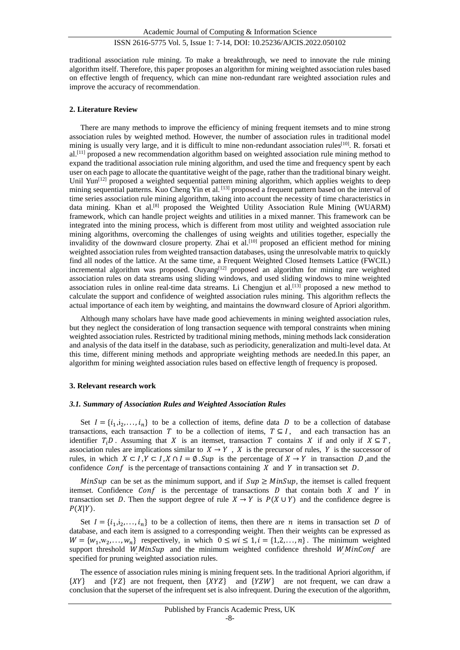traditional association rule mining. To make a breakthrough, we need to innovate the rule mining algorithm itself. Therefore, this paper proposes an algorithm for mining weighted association rules based on effective length of frequency, which can mine non-redundant rare weighted association rules and improve the accuracy of recommendation.

#### **2. Literature Review**

There are many methods to improve the efficiency of mining frequent itemsets and to mine strong association rules by weighted method. However, the number of association rules in traditional model mining is usually very large, and it is difficult to mine non-redundant association rules<sup>[10]</sup>. R. forsati et al.[11] proposed a new recommendation algorithm based on weighted association rule mining method to expand the traditional association rule mining algorithm, and used the time and frequency spent by each user on each page to allocate the quantitative weight of the page, rather than the traditional binary weight. Unil Yun<sup>[12]</sup> proposed a weighted sequential pattern mining algorithm, which applies weights to deep mining sequential patterns. Kuo Cheng Yin et al. [13] proposed a frequent pattern based on the interval of time series association rule mining algorithm, taking into account the necessity of time characteristics in data mining. Khan et al.[8] proposed the Weighted Utility Association Rule Mining (WUARM) framework, which can handle project weights and utilities in a mixed manner. This framework can be integrated into the mining process, which is different from most utility and weighted association rule mining algorithms, overcoming the challenges of using weights and utilities together, especially the invalidity of the downward closure property. Zhai et al.<sup>[10]</sup> proposed an efficient method for mining weighted association rules from weighted transaction databases, using the unresolvable matrix to quickly find all nodes of the lattice. At the same time, a Frequent Weighted Closed Itemsets Lattice (FWCIL) incremental algorithm was proposed. Ouyang<sup>[12]</sup> proposed an algorithm for mining rare weighted association rules on data streams using sliding windows, and used sliding windows to mine weighted association rules in online real-time data streams. Li Chengjun et al.<sup>[13]</sup> proposed a new method to calculate the support and confidence of weighted association rules mining. This algorithm reflects the actual importance of each item by weighting, and maintains the downward closure of Apriori algorithm.

Although many scholars have have made good achievements in mining weighted association rules, but they neglect the consideration of long transaction sequence with temporal constraints when mining weighted association rules. Restricted by traditional mining methods, mining methods lack consideration and analysis of the data itself in the database, such as periodicity, generalization and multi-level data. At this time, different mining methods and appropriate weighting methods are needed.In this paper, an algorithm for mining weighted association rules based on effective length of frequency is proposed.

#### **3. Relevant research work**

#### *3.1. Summary of Association Rules and Weighted Association Rules*

Set  $I = \{i_1, i_2, \dots, i_n\}$  to be a collection of items, define data D to be a collection of database transactions, each transaction T to be a collection of items,  $T \subseteq I$ , and each transaction has an identifier  $T_i D$ . Assuming that X is an itemset, transaction T contains X if and only if  $X \subseteq T$ , association rules are implications similar to  $X \to Y$ , X is the precursor of rules, Y is the successor of rules, in which  $X \subset I, Y \subset I, X \cap I = \emptyset$ . Sup is the percentage of  $X \to Y$  in transaction D, and the confidence Conf is the percentage of transactions containing  $X$  and  $Y$  in transaction set  $D$ .

MinSup can be set as the minimum support, and if  $Sup \geq MinSup$ , the itemset is called frequent itemset. Confidence  $Conf$  is the percentage of transactions  $D$  that contain both  $X$  and  $Y$  in transaction set D. Then the support degree of rule  $X \to Y$  is  $P(X \cup Y)$  and the confidence degree is  $P(X|Y)$ .

Set  $I = \{i_1, i_2, \dots, i_n\}$  to be a collection of items, then there are *n* items in transaction set *D* of database, and each item is assigned to a corresponding weight. Then their weights can be expressed as  $W = \{w_1, w_2, \dots, w_n\}$  respectively, in which  $0 \leq wi \leq 1, i = \{1, 2, \dots, n\}$ . The minimum weighted support threshold  $WMinSup$  and the minimum weighted confidence threshold  $WMinConf$  are specified for pruning weighted association rules.

The essence of association rules mining is mining frequent sets. In the traditional Apriori algorithm, if  ${XY}$  and  ${YZ}$  are not frequent, then  ${XYZ}$  and  ${YZW}$  are not frequent, we can draw a conclusion that the superset of the infrequent set is also infrequent. During the execution of the algorithm,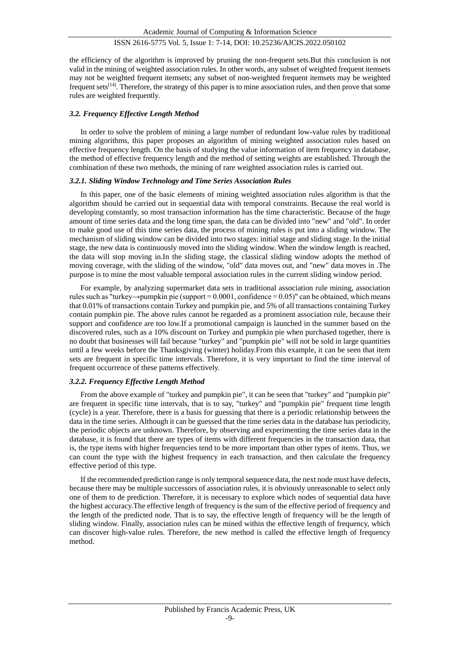the efficiency of the algorithm is improved by pruning the non-frequent sets.But this conclusion is not valid in the mining of weighted association rules. In other words, any subset of weighted frequent itemsets may not be weighted frequent itemsets; any subset of non-weighted frequent itemsets may be weighted frequent sets<sup>[14]</sup>. Therefore, the strategy of this paper is to mine association rules, and then prove that some rules are weighted frequently.

#### *3.2. Frequency Effective Length Method*

In order to solve the problem of mining a large number of redundant low-value rules by traditional mining algorithms, this paper proposes an algorithm of mining weighted association rules based on effective frequency length. On the basis of studying the value information of item frequency in database, the method of effective frequency length and the method of setting weights are established. Through the combination of these two methods, the mining of rare weighted association rules is carried out.

#### *3.2.1. Sliding Window Technology and Time Series Association Rules*

In this paper, one of the basic elements of mining weighted association rules algorithm is that the algorithm should be carried out in sequential data with temporal constraints. Because the real world is developing constantly, so most transaction information has the time characteristic. Because of the huge amount of time series data and the long time span, the data can be divided into "new" and "old". In order to make good use of this time series data, the process of mining rules is put into a sliding window. The mechanism of sliding window can be divided into two stages: initial stage and sliding stage. In the initial stage, the new data is continuously moved into the sliding window. When the window length is reached, the data will stop moving in.In the sliding stage, the classical sliding window adopts the method of moving coverage, with the sliding of the window, "old" data moves out, and "new" data moves in .The purpose is to mine the most valuable temporal association rules in the current sliding window period.

For example, by analyzing supermarket data sets in traditional association rule mining, association rules such as "turkey→pumpkin pie (support =  $0.0001$ , confidence =  $0.05$ )" can be obtained, which means that 0.01% of transactions contain Turkey and pumpkin pie, and 5% of all transactions containing Turkey contain pumpkin pie. The above rules cannot be regarded as a prominent association rule, because their support and confidence are too low.If a promotional campaign is launched in the summer based on the discovered rules, such as a 10% discount on Turkey and pumpkin pie when purchased together, there is no doubt that businesses will fail because "turkey" and "pumpkin pie" will not be sold in large quantities until a few weeks before the Thanksgiving (winter) holiday.From this example, it can be seen that item sets are frequent in specific time intervals. Therefore, it is very important to find the time interval of frequent occurrence of these patterns effectively.

#### *3.2.2. Frequency Effective Length Method*

From the above example of "turkey and pumpkin pie", it can be seen that "turkey" and "pumpkin pie" are frequent in specific time intervals, that is to say, "turkey" and "pumpkin pie" frequent time length (cycle) is a year. Therefore, there is a basis for guessing that there is a periodic relationship between the data in the time series. Although it can be guessed that the time series data in the database has periodicity, the periodic objects are unknown. Therefore, by observing and experimenting the time series data in the database, it is found that there are types of items with different frequencies in the transaction data, that is, the type items with higher frequencies tend to be more important than other types of items. Thus, we can count the type with the highest frequency in each transaction, and then calculate the frequency effective period of this type.

If the recommended prediction range is only temporal sequence data, the next node must have defects, because there may be multiple successors of association rules, it is obviously unreasonable to select only one of them to de prediction. Therefore, it is necessary to explore which nodes of sequential data have the highest accuracy.The effective length of frequency is the sum of the effective period of frequency and the length of the predicted node. That is to say, the effective length of frequency will be the length of sliding window. Finally, association rules can be mined within the effective length of frequency, which can discover high-value rules. Therefore, the new method is called the effective length of frequency method.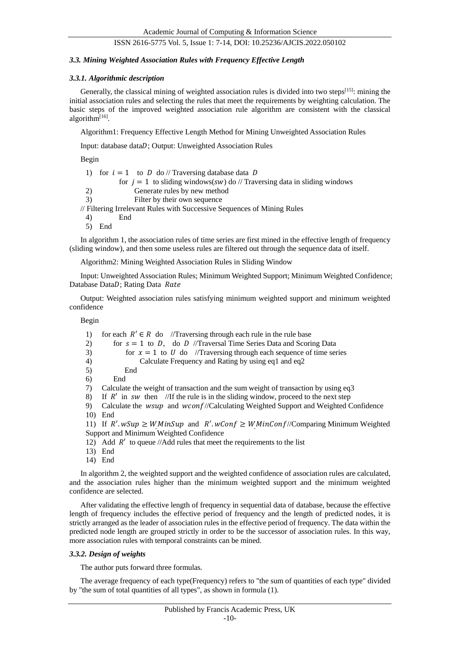#### *3.3. Mining Weighted Association Rules with Frequency Effective Length*

#### *3.3.1. Algorithmic description*

Generally, the classical mining of weighted association rules is divided into two steps<sup>[15]</sup>: mining the initial association rules and selecting the rules that meet the requirements by weighting calculation. The basic steps of the improved weighted association rule algorithm are consistent with the classical algorithm[16].

Algorithm1: Frequency Effective Length Method for Mining Unweighted Association Rules

Input: database dataD; Output: Unweighted Association Rules

Begin

1) for  $i = 1$  to D do // Traversing database data D

- for  $j = 1$  to sliding windows(*sw*) do // Traversing data in sliding windows
- 2) Generate rules by new method
- 3) Filter by their own sequence

// Filtering Irrelevant Rules with Successive Sequences of Mining Rules

4) End

5) End

In algorithm 1, the association rules of time series are first mined in the effective length of frequency (sliding window), and then some useless rules are filtered out through the sequence data of itself.

Algorithm2: Mining Weighted Association Rules in Sliding Window

Input: Unweighted Association Rules; Minimum Weighted Support; Minimum Weighted Confidence; Database DataD; Rating Data Rate

Output: Weighted association rules satisfying minimum weighted support and minimum weighted confidence

Begin

1) for each  $R' \in R$  do //Traversing through each rule in the rule base

2) for  $s = 1$  to D, do D //Traversal Time Series Data and Scoring Data

3) for  $x = 1$  to U do //Traversing through each sequence of time series

- 4) Calculate Frequency and Rating by using eq1 and eq2
- 5) End
- 6) End
- 7) Calculate the weight of transaction and the sum weight of transaction by using eq3
- 8) If  $R'$  in sw then //If the rule is in the sliding window, proceed to the next step

9) Calculate the  $wsup$  and  $wconf//$ Calculating Weighted Support and Weighted Confidence 10) End

- 11) If  $R'$ .  $wSup \geq W_M$ in $Sup$  and  $R'$ .  $wConf \geq W_M$ in $Conf$ //Comparing Minimum Weighted Support and Minimum Weighted Confidence
- 12) Add  $R'$  to queue //Add rules that meet the requirements to the list
- 13) End
- 14) End

In algorithm 2, the weighted support and the weighted confidence of association rules are calculated, and the association rules higher than the minimum weighted support and the minimum weighted confidence are selected.

After validating the effective length of frequency in sequential data of database, because the effective length of frequency includes the effective period of frequency and the length of predicted nodes, it is strictly arranged as the leader of association rules in the effective period of frequency. The data within the predicted node length are grouped strictly in order to be the successor of association rules. In this way, more association rules with temporal constraints can be mined.

#### *3.3.2. Design of weights*

The author puts forward three formulas.

The average frequency of each type(Frequency) refers to "the sum of quantities of each type" divided by "the sum of total quantities of all types", as shown in formula (1).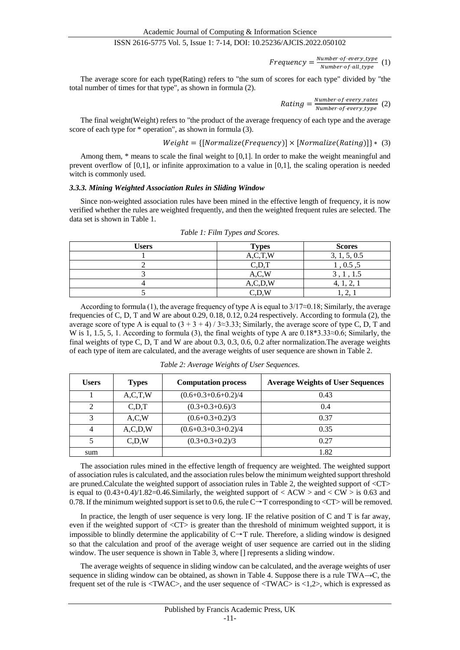$Frequency = \frac{Number \cdot of \cdot every\_type}{Number \cdot of \cdot all \cdot time}$  $\frac{a}{Number \cdot of \cdot all\_type}$  (1)

The average score for each type(Rating) refers to "the sum of scores for each type" divided by "the total number of times for that type", as shown in formula (2).

> $Rating = \frac{Number \cdot of \cdot every \cdot rates}{Number \cdot of \cdot sums \cdot times}$  $\frac{Number \cdot of \cdot every \cdot true}{Number \cdot of \cdot every \cdot type}$  (2)

The final weight(Weight) refers to "the product of the average frequency of each type and the average score of each type for \* operation", as shown in formula (3).

$$
Weight = \{[Normalize(Frequency)] \times [Normalize(Rating)]\} * (3)
$$

Among them, \* means to scale the final weight to [0,1]. In order to make the weight meaningful and prevent overflow of [0,1], or infinite approximation to a value in [0,1], the scaling operation is needed witch is commonly used.

#### *3.3.3. Mining Weighted Association Rules in Sliding Window*

Since non-weighted association rules have been mined in the effective length of frequency, it is now verified whether the rules are weighted frequently, and then the weighted frequent rules are selected. The data set is shown in Table 1.

| <b>Users</b> | <b>Types</b> | <b>Scores</b>            |
|--------------|--------------|--------------------------|
|              | A, C, T, W   | 3, 1, 5, 0.5             |
|              |              | $1$ , $0.5$ , $5$        |
|              | A, C, W      | 1.1.5<br>◡               |
|              | A, C, D, W   | T. 1. <del>4</del> .     |
|              | $C$ D W      | $\overline{\phantom{a}}$ |

*Table 1: Film Types and Scores.*

According to formula (1), the average frequency of type A is equal to 3/17≈0.18; Similarly, the average frequencies of C, D, T and W are about 0.29, 0.18, 0.12, 0.24 respectively. According to formula (2), the average score of type A is equal to  $(3 + 3 + 4) / 3 \approx 3.33$ ; Similarly, the average score of type C, D, T and W is 1, 1.5, 5, 1. According to formula (3), the final weights of type A are 0.18\*3.33≈0.6; Similarly, the final weights of type C, D, T and W are about 0.3, 0.3, 0.6, 0.2 after normalization.The average weights of each type of item are calculated, and the average weights of user sequence are shown in Table 2.

| <b>Users</b> | <b>Types</b> | <b>Computation process</b> | <b>Average Weights of User Sequences</b> |
|--------------|--------------|----------------------------|------------------------------------------|
|              | A, C, T, W   | $(0.6+0.3+0.6+0.2)/4$      | 0.43                                     |
| ↑            | C, D, T      | $(0.3+0.3+0.6)/3$          | 0.4                                      |
| 3            | A, C, W      | $(0.6+0.3+0.2)/3$          | 0.37                                     |
|              | A, C, D, W   | $(0.6+0.3+0.3+0.2)/4$      | 0.35                                     |
|              | C.D.W        | $(0.3+0.3+0.2)/3$          | 0.27                                     |
| sum          |              |                            | 1.82                                     |

*Table 2: Average Weights of User Sequences.*

The association rules mined in the effective length of frequency are weighted. The weighted support of association rules is calculated, and the association rules below the minimum weighted support threshold are pruned.Calculate the weighted support of association rules in Table 2, the weighted support of <CT> is equal to  $(0.43+0.4)/1.82=0.46$ . Similarly, the weighted support of < ACW > and < CW > is 0.63 and 0.78. If the minimum weighted support is set to 0.6, the rule  $C\rightarrow T$  corresponding to  $\langle CT \rangle$  will be removed.

In practice, the length of user sequence is very long. IF the relative position of C and T is far away, even if the weighted support of <CT> is greater than the threshold of minimum weighted support, it is impossible to blindly determine the applicability of C→T rule. Therefore, a sliding window is designed so that the calculation and proof of the average weight of user sequence are carried out in the sliding window. The user sequence is shown in Table 3, where [] represents a sliding window.

The average weights of sequence in sliding window can be calculated, and the average weights of user sequence in sliding window can be obtained, as shown in Table 4. Suppose there is a rule TWA→C, the frequent set of the rule is <TWAC>, and the user sequence of <TWAC> is <1,2>, which is expressed as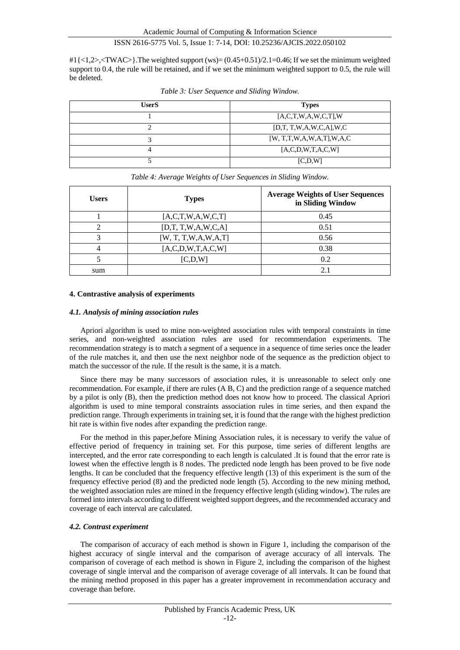$\frac{#1}{2}$ , TWAC>}. The weighted support (ws)= (0.45+0.51)/2.1=0.46; If we set the minimum weighted support to 0.4, the rule will be retained, and if we set the minimum weighted support to 0.5, the rule will be deleted.

| <b>UserS</b> | <b>Types</b>                      |
|--------------|-----------------------------------|
|              | $[A, C, T, W, A, W, C, T]$ , W    |
|              | [D,T, T,W,A,W,C,A],W,C            |
|              | [W, T, T, W, A, W, A, T], W, A, C |
|              | [A, C, D, W, T, A, C, W]          |
|              | [C,D,W]                           |

*Table 3: User Sequence and Sliding Window.*

| <b>Users</b> | <b>Types</b>             | <b>Average Weights of User Sequences</b><br>in Sliding Window |
|--------------|--------------------------|---------------------------------------------------------------|
|              | [A, C, T, W, A, W, C, T] | 0.45                                                          |
| ◠            | [D,T,T,W,A,W,C,A]        | 0.51                                                          |
|              | [W, T, T, W, A, W, A, T] | 0.56                                                          |
| 4            | [A, C, D, W, T, A, C, W] | 0.38                                                          |
|              | [C.D.W]                  | 0.2                                                           |
| sum          |                          |                                                               |

*Table 4: Average Weights of User Sequences in Sliding Window.*

#### **4. Contrastive analysis of experiments**

#### *4.1. Analysis of mining association rules*

Apriori algorithm is used to mine non-weighted association rules with temporal constraints in time series, and non-weighted association rules are used for recommendation experiments. The recommendation strategy is to match a segment of a sequence in a sequence of time series once the leader of the rule matches it, and then use the next neighbor node of the sequence as the prediction object to match the successor of the rule. If the result is the same, it is a match.

Since there may be many successors of association rules, it is unreasonable to select only one recommendation. For example, if there are rules (A B, C) and the prediction range of a sequence matched by a pilot is only (B), then the prediction method does not know how to proceed. The classical Apriori algorithm is used to mine temporal constraints association rules in time series, and then expand the prediction range. Through experiments in training set, it is found that the range with the highest prediction hit rate is within five nodes after expanding the prediction range.

For the method in this paper,before Mining Association rules, it is necessary to verify the value of effective period of frequency in training set. For this purpose, time series of different lengths are intercepted, and the error rate corresponding to each length is calculated .It is found that the error rate is lowest when the effective length is 8 nodes. The predicted node length has been proved to be five node lengths. It can be concluded that the frequency effective length (13) of this experiment is the sum of the frequency effective period (8) and the predicted node length (5). According to the new mining method, the weighted association rules are mined in the frequency effective length (sliding window). The rules are formed into intervals according to different weighted support degrees, and the recommended accuracy and coverage of each interval are calculated.

#### *4.2. Contrast experiment*

The comparison of accuracy of each method is shown in Figure 1, including the comparison of the highest accuracy of single interval and the comparison of average accuracy of all intervals. The comparison of coverage of each method is shown in Figure 2, including the comparison of the highest coverage of single interval and the comparison of average coverage of all intervals. It can be found that the mining method proposed in this paper has a greater improvement in recommendation accuracy and coverage than before.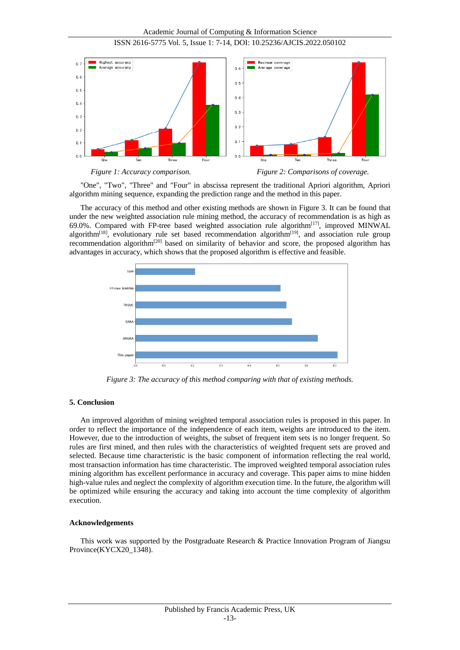Academic Journal of Computing & Information Science

ISSN 2616-5775 Vol. 5, Issue 1: 7-14, DOI: 10.25236/AJCIS.2022.050102



"One", "Two", "Three" and "Four" in abscissa represent the traditional Apriori algorithm, Apriori algorithm mining sequence, expanding the prediction range and the method in this paper.

The accuracy of this method and other existing methods are shown in Figure 3. It can be found that under the new weighted association rule mining method, the accuracy of recommendation is as high as 69.0%. Compared with FP-tree based weighted association rule algorithm<sup>[17]</sup>, improved MINWAL algorithm<sup>[18]</sup>, evolutionary rule set based recommendation algorithm<sup>[19]</sup>, and association rule group recommendation algorithm[20] based on similarity of behavior and score, the proposed algorithm has advantages in accuracy, which shows that the proposed algorithm is effective and feasible.



*Figure 3: The accuracy of this method comparing with that of existing methods.*

#### **5. Conclusion**

An improved algorithm of mining weighted temporal association rules is proposed in this paper. In order to reflect the importance of the independence of each item, weights are introduced to the item. However, due to the introduction of weights, the subset of frequent item sets is no longer frequent. So rules are first mined, and then rules with the characteristics of weighted frequent sets are proved and selected. Because time characteristic is the basic component of information reflecting the real world, most transaction information has time characteristic. The improved weighted temporal association rules mining algorithm has excellent performance in accuracy and coverage. This paper aims to mine hidden high-value rules and neglect the complexity of algorithm execution time. In the future, the algorithm will be optimized while ensuring the accuracy and taking into account the time complexity of algorithm execution.

#### **Acknowledgements**

This work was supported by the Postgraduate Research & Practice Innovation Program of Jiangsu Province(KYCX20\_1348).